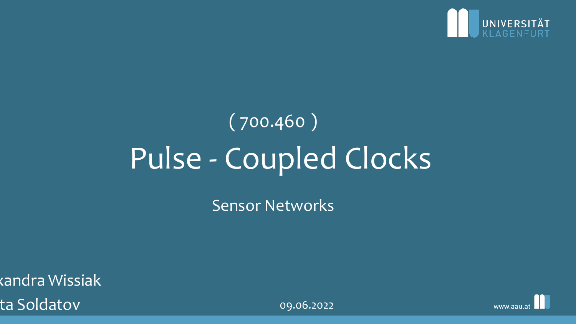

# Pulse - Coupled Clocks ( 700.460 )

Sensor Networks

 $\overline{{\mathsf{c}}$ andra Wissiak ta Soldatov and Controller and Controller and Controller and Controller and Controller and Controller and Controller and Controller and Controller and Controller and Controller and Controller and Controller and Controller

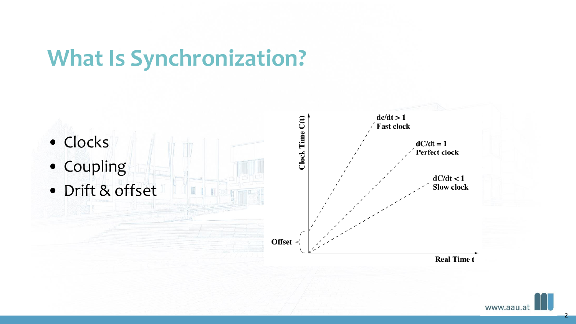### **What Is Synchronization?**





2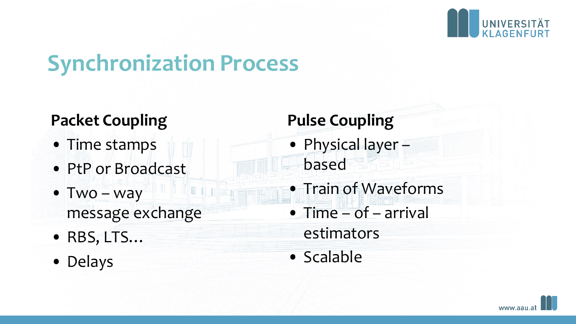

## **Synchronization Process**

#### **Packet Coupling**

- Time stamps
- PtP or Broadcast
- Two way message exchange
- RBS, LTS…
- Delays

#### **Pulse Coupling**

- Physical layer based
- Train of Waveforms
- Time of arrival
	- estimators
- Scalable

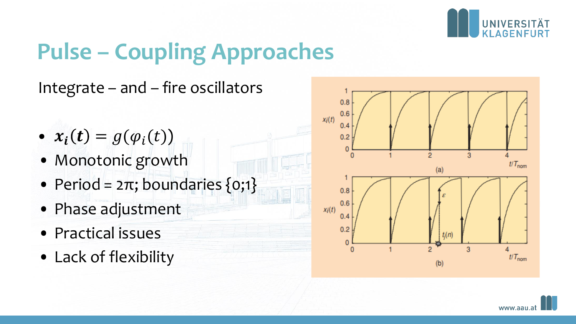

# **Pulse – Coupling Approaches**

Integrate – and – fire oscillators

- $x_i(t) = g(\varphi_i(t))$
- Monotonic growth
- Period =  $2\pi$ ; boundaries  $\{0;1\}$
- Phase adjustment
- Practical issues
- Lack of flexibility



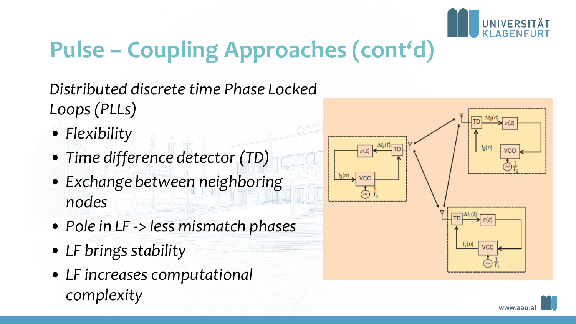

# **Pulse – Coupling Approaches (cont'd)**

*Distributed discrete time Phase Locked Loops (PLLs)*

- *Flexibility*
- *Time difference detector (TD)*
- *Exchange between neighboring nodes*
- *Pole in LF -> less mismatch phases*
- *LF brings stability*
- *LF increases computational complexity*



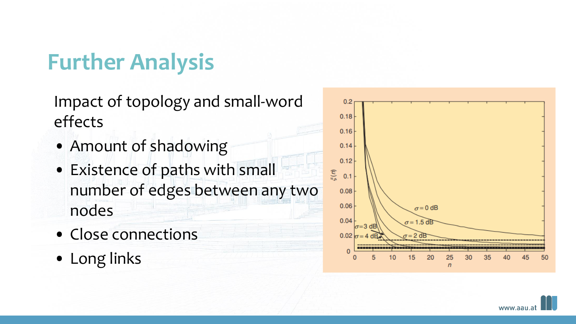## **Further Analysis**

Impact of topology and small-word effects

- Amount of shadowing
- Existence of paths with small number of edges between any two nodes
- Close connections
- Long links



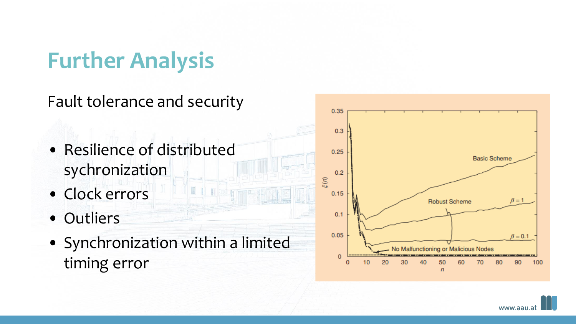## **Further Analysis**

Fault tolerance and security

- Resilience of distributed sychronization
- Clock errors
- Outliers
- Synchronization within a limited timing error

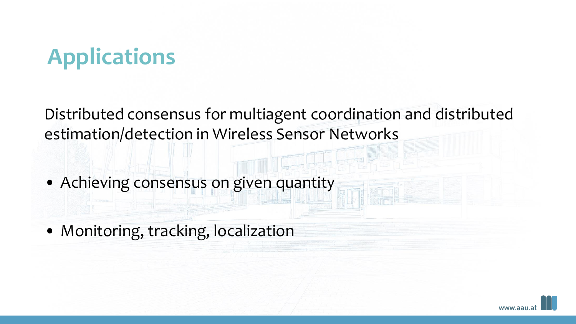# **Applications**

Distributed consensus for multiagent coordination and distributed estimation/detection in Wireless Sensor Networks

- Achieving consensus on given quantity
- Monitoring, tracking, localization

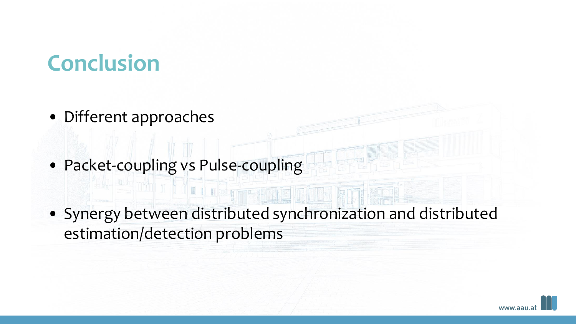## **Conclusion**

- Different approaches
- Packet-coupling vs Pulse-coupling

L D

• Synergy between distributed synchronization and distributed estimation/detection problems